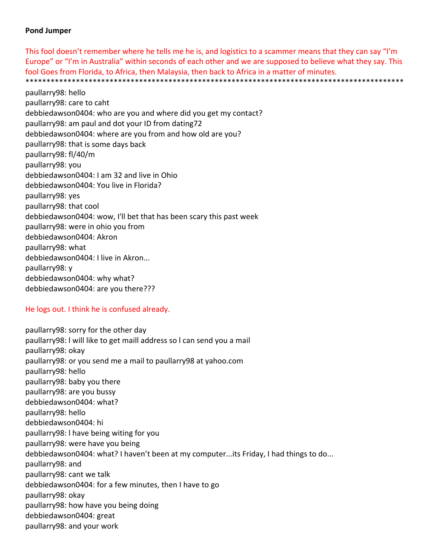### **Pond Jumper**

This fool doesn't remember where he tells me he is, and logistics to a scammer means that they can say "I'm Europe" or "I'm in Australia" within seconds of each other and we are supposed to believe what they say. This fool Goes from Florida, to Africa, then Malaysia, then back to Africa in a matter of minutes. \*\*\*\*\*\*\*\*\*\*\*\*\*\*\*\*\*\*\*\*\*\*\*\*\*\*\*\*\*\*\*\*\*\*\*\*\*\*\*\*\*\*\*\*\*\*\*\*\*\*\*\*\*\*\*\*\*\*\*\*\*\*\*\*\*\*\*\*\*\*\*\*\*\*\*\*\*\*\*\*\*\*\*\*\*\*\*\*\*\*

paullarry98: hello paullarry98: care to caht debbiedawson0404: who are you and where did you get my contact? paullarry98: am paul and dot your ID from dating72 debbiedawson0404: where are you from and how old are you? paullarry98: that is some days back paullarry98: fl/40/m paullarry98: you debbiedawson0404: I am 32 and live in Ohio debbiedawson0404: You live in Florida? paullarry98: yes paullarry98: that cool debbiedawson0404: wow, I'll bet that has been scary this past week paullarry98: were in ohio you from debbiedawson0404: Akron paullarry98: what debbiedawson0404: I live in Akron... paullarry98: y debbiedawson0404: why what? debbiedawson0404: are you there???

### He logs out. I think he is confused already.

paullarry98: sorry for the other day paullarry98: l will like to get maill address so l can send you a mail paullarry98: okay paullarry98: or you send me a mail to paullarry98 at yahoo.com paullarry98: hello paullarry98: baby you there paullarry98: are you bussy debbiedawson0404: what? paullarry98: hello debbiedawson0404: hi paullarry98: l have being witing for you paullarry98: were have you being debbiedawson0404: what? I haven't been at my computer...its Friday, I had things to do... paullarry98: and paullarry98: cant we talk debbiedawson0404: for a few minutes, then I have to go paullarry98: okay paullarry98: how have you being doing debbiedawson0404: great paullarry98: and your work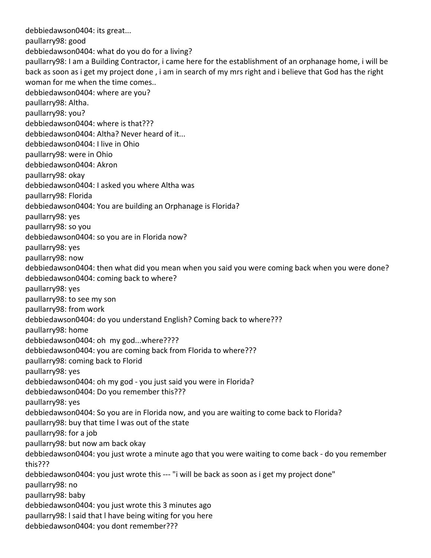debbiedawson0404: its great... paullarry98: good debbiedawson0404: what do you do for a living? paullarry98: I am a Building Contractor, i came here for the establishment of an orphanage home, i will be back as soon as i get my project done , i am in search of my mrs right and i believe that God has the right woman for me when the time comes.. debbiedawson0404: where are you? paullarry98: Altha. paullarry98: you? debbiedawson0404: where is that??? debbiedawson0404: Altha? Never heard of it... debbiedawson0404: I live in Ohio paullarry98: were in Ohio debbiedawson0404: Akron paullarry98: okay debbiedawson0404: I asked you where Altha was paullarry98: Florida debbiedawson0404: You are building an Orphanage is Florida? paullarry98: yes paullarry98: so you debbiedawson0404: so you are in Florida now? paullarry98: yes paullarry98: now debbiedawson0404: then what did you mean when you said you were coming back when you were done? debbiedawson0404: coming back to where? paullarry98: yes paullarry98: to see my son paullarry98: from work debbiedawson0404: do you understand English? Coming back to where??? paullarry98: home debbiedawson0404: oh my god...where???? debbiedawson0404: you are coming back from Florida to where??? paullarry98: coming back to Florid paullarry98: yes debbiedawson0404: oh my god ‐ you just said you were in Florida? debbiedawson0404: Do you remember this??? paullarry98: yes debbiedawson0404: So you are in Florida now, and you are waiting to come back to Florida? paullarry98: buy that time l was out of the state paullarry98: for a job paullarry98: but now am back okay debbiedawson0404: you just wrote a minute ago that you were waiting to come back ‐ do you remember this??? debbiedawson0404: you just wrote this ‐‐‐ "i will be back as soon as i get my project done" paullarry98: no paullarry98: baby debbiedawson0404: you just wrote this 3 minutes ago paullarry98: l said that l have being witing for you here debbiedawson0404: you dont remember???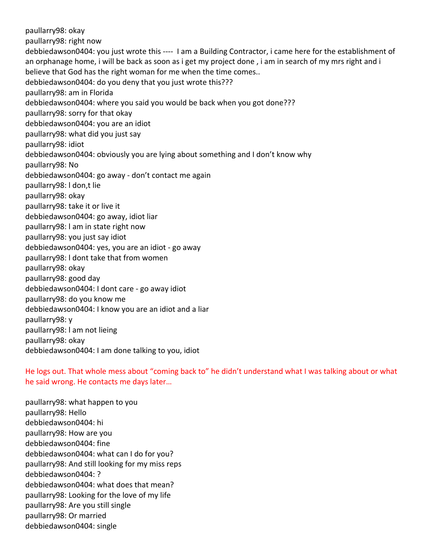paullarry98: okay paullarry98: right now debbiedawson0404: you just wrote this ‐‐‐‐ I am a Building Contractor, i came here for the establishment of an orphanage home, i will be back as soon as i get my project done , i am in search of my mrs right and i believe that God has the right woman for me when the time comes.. debbiedawson0404: do you deny that you just wrote this??? paullarry98: am in Florida debbiedawson0404: where you said you would be back when you got done??? paullarry98: sorry for that okay debbiedawson0404: you are an idiot paullarry98: what did you just say paullarry98: idiot debbiedawson0404: obviously you are lying about something and I don't know why paullarry98: No debbiedawson0404: go away ‐ don't contact me again paullarry98: l don,t lie paullarry98: okay paullarry98: take it or live it debbiedawson0404: go away, idiot liar paullarry98: l am in state right now paullarry98: you just say idiot debbiedawson0404: yes, you are an idiot ‐ go away paullarry98: l dont take that from women paullarry98: okay paullarry98: good day debbiedawson0404: I dont care ‐ go away idiot paullarry98: do you know me debbiedawson0404: I know you are an idiot and a liar paullarry98: y paullarry98: l am not lieing paullarry98: okay debbiedawson0404: I am done talking to you, idiot

He logs out. That whole mess about "coming back to" he didn't understand what I was talking about or what he said wrong. He contacts me days later…

paullarry98: what happen to you paullarry98: Hello debbiedawson0404: hi paullarry98: How are you debbiedawson0404: fine debbiedawson0404: what can I do for you? paullarry98: And still looking for my miss reps debbiedawson0404: ? debbiedawson0404: what does that mean? paullarry98: Looking for the love of my life paullarry98: Are you still single paullarry98: Or married debbiedawson0404: single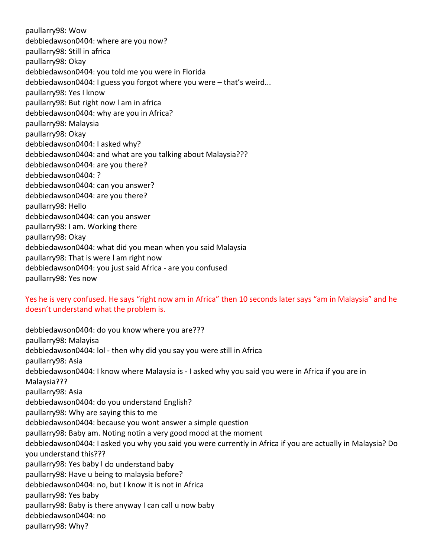paullarry98: Wow debbiedawson0404: where are you now? paullarry98: Still in africa paullarry98: Okay debbiedawson0404: you told me you were in Florida debbiedawson0404: I guess you forgot where you were – that's weird... paullarry98: Yes I know paullarry98: But right now l am in africa debbiedawson0404: why are you in Africa? paullarry98: Malaysia paullarry98: Okay debbiedawson0404: I asked why? debbiedawson0404: and what are you talking about Malaysia??? debbiedawson0404: are you there? debbiedawson0404: ? debbiedawson0404: can you answer? debbiedawson0404: are you there? paullarry98: Hello debbiedawson0404: can you answer paullarry98: I am. Working there paullarry98: Okay debbiedawson0404: what did you mean when you said Malaysia paullarry98: That is were l am right now debbiedawson0404: you just said Africa ‐ are you confused paullarry98: Yes now

# Yes he is very confused. He says "right now am in Africa" then 10 seconds later says "am in Malaysia" and he doesn't understand what the problem is.

debbiedawson0404: do you know where you are??? paullarry98: Malayisa debbiedawson0404: lol ‐ then why did you say you were still in Africa paullarry98: Asia debbiedawson0404: I know where Malaysia is ‐ I asked why you said you were in Africa if you are in Malaysia??? paullarry98: Asia debbiedawson0404: do you understand English? paullarry98: Why are saying this to me debbiedawson0404: because you wont answer a simple question paullarry98: Baby am. Noting notin a very good mood at the moment debbiedawson0404: I asked you why you said you were currently in Africa if you are actually in Malaysia? Do you understand this??? paullarry98: Yes baby I do understand baby paullarry98: Have u being to malaysia before? debbiedawson0404: no, but I know it is not in Africa paullarry98: Yes baby paullarry98: Baby is there anyway I can call u now baby debbiedawson0404: no paullarry98: Why?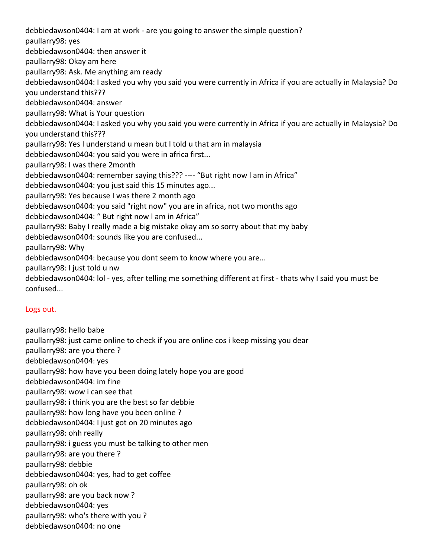debbiedawson0404: I am at work ‐ are you going to answer the simple question? paullarry98: yes debbiedawson0404: then answer it paullarry98: Okay am here paullarry98: Ask. Me anything am ready debbiedawson0404: I asked you why you said you were currently in Africa if you are actually in Malaysia? Do you understand this??? debbiedawson0404: answer paullarry98: What is Your question debbiedawson0404: I asked you why you said you were currently in Africa if you are actually in Malaysia? Do you understand this??? paullarry98: Yes I understand u mean but I told u that am in malaysia debbiedawson0404: you said you were in africa first... paullarry98: I was there 2month debbiedawson0404: remember saying this??? ‐‐‐‐ "But right now l am in Africa" debbiedawson0404: you just said this 15 minutes ago... paullarry98: Yes because I was there 2 month ago debbiedawson0404: you said "right now" you are in africa, not two months ago debbiedawson0404: " But right now l am in Africa" paullarry98: Baby I really made a big mistake okay am so sorry about that my baby debbiedawson0404: sounds like you are confused... paullarry98: Why debbiedawson0404: because you dont seem to know where you are... paullarry98: I just told u nw

debbiedawson0404: lol ‐ yes, after telling me something different at first ‐ thats why I said you must be confused...

# Logs out.

paullarry98: hello babe paullarry98: just came online to check if you are online cos i keep missing you dear paullarry98: are you there ? debbiedawson0404: yes paullarry98: how have you been doing lately hope you are good debbiedawson0404: im fine paullarry98: wow i can see that paullarry98: i think you are the best so far debbie paullarry98: how long have you been online ? debbiedawson0404: I just got on 20 minutes ago paullarry98: ohh really paullarry98: i guess you must be talking to other men paullarry98: are you there ? paullarry98: debbie debbiedawson0404: yes, had to get coffee paullarry98: oh ok paullarry98: are you back now ? debbiedawson0404: yes paullarry98: who's there with you ? debbiedawson0404: no one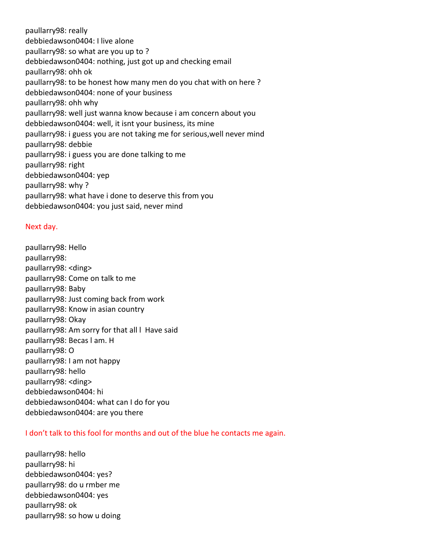paullarry98: really debbiedawson0404: I live alone paullarry98: so what are you up to ? debbiedawson0404: nothing, just got up and checking email paullarry98: ohh ok paullarry98: to be honest how many men do you chat with on here ? debbiedawson0404: none of your business paullarry98: ohh why paullarry98: well just wanna know because i am concern about you debbiedawson0404: well, it isnt your business, its mine paullarry98: i guess you are not taking me for serious,well never mind paullarry98: debbie paullarry98: i guess you are done talking to me paullarry98: right debbiedawson0404: yep paullarry98: why ? paullarry98: what have i done to deserve this from you debbiedawson0404: you just said, never mind

#### Next day.

paullarry98: Hello paullarry98: paullarry98: <ding> paullarry98: Come on talk to me paullarry98: Baby paullarry98: Just coming back from work paullarry98: Know in asian country paullarry98: Okay paullarry98: Am sorry for that all l Have said paullarry98: Becas l am. H paullarry98: O paullarry98: I am not happy paullarry98: hello paullarry98: <ding> debbiedawson0404: hi debbiedawson0404: what can I do for you debbiedawson0404: are you there

### I don't talk to this fool for months and out of the blue he contacts me again.

paullarry98: hello paullarry98: hi debbiedawson0404: yes? paullarry98: do u rmber me debbiedawson0404: yes paullarry98: ok paullarry98: so how u doing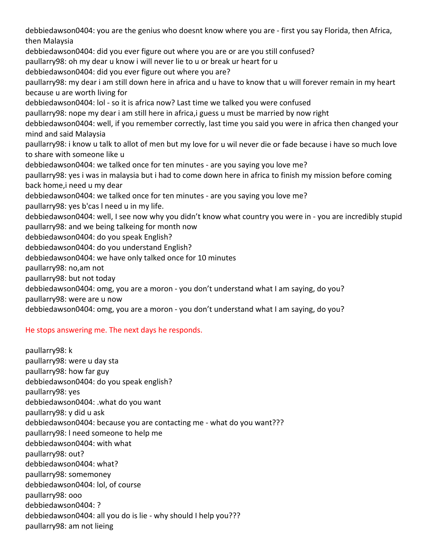debbiedawson0404: you are the genius who doesnt know where you are ‐ first you say Florida, then Africa, then Malaysia debbiedawson0404: did you ever figure out where you are or are you still confused? paullarry98: oh my dear u know i will never lie to u or break ur heart for u debbiedawson0404: did you ever figure out where you are? paullarry98: my dear i am still down here in africa and u have to know that u will forever remain in my heart because u are worth living for debbiedawson0404: lol ‐ so it is africa now? Last time we talked you were confused paullarry98: nope my dear i am still here in africa,i guess u must be married by now right debbiedawson0404: well, if you remember correctly, last time you said you were in africa then changed your mind and said Malaysia paullarry98: i know u talk to allot of men but my love for u wil never die or fade because i have so much love to share with someone like u debbiedawson0404: we talked once for ten minutes ‐ are you saying you love me? paullarry98: yes i was in malaysia but i had to come down here in africa to finish my mission before coming back home,i need u my dear debbiedawson0404: we talked once for ten minutes ‐ are you saying you love me? paullarry98: yes b'cas l need u in my life. debbiedawson0404: well, I see now why you didn't know what country you were in ‐ you are incredibly stupid paullarry98: and we being talkeing for month now debbiedawson0404: do you speak English? debbiedawson0404: do you understand English? debbiedawson0404: we have only talked once for 10 minutes paullarry98: no,am not paullarry98: but not today debbiedawson0404: omg, you are a moron ‐ you don't understand what I am saying, do you? paullarry98: were are u now debbiedawson0404: omg, you are a moron ‐ you don't understand what I am saying, do you?

### He stops answering me. The next days he responds.

paullarry98: k paullarry98: were u day sta paullarry98: how far guy debbiedawson0404: do you speak english? paullarry98: yes debbiedawson0404: .what do you want paullarry98: y did u ask debbiedawson0404: because you are contacting me ‐ what do you want??? paullarry98: l need someone to help me debbiedawson0404: with what paullarry98: out? debbiedawson0404: what? paullarry98: somemoney debbiedawson0404: lol, of course paullarry98: ooo debbiedawson0404: ? debbiedawson0404: all you do is lie ‐ why should I help you??? paullarry98: am not lieing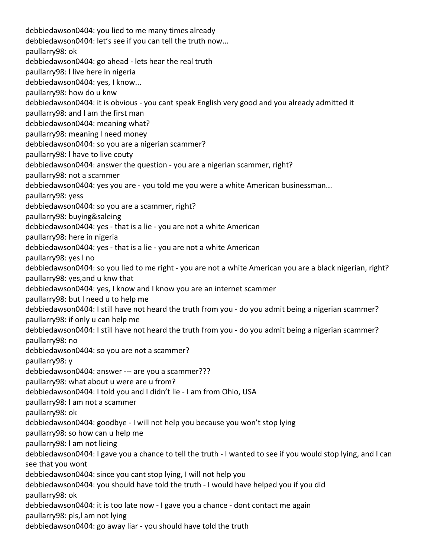debbiedawson0404: you lied to me many times already debbiedawson0404: let's see if you can tell the truth now... paullarry98: ok debbiedawson0404: go ahead ‐ lets hear the real truth paullarry98: l live here in nigeria debbiedawson0404: yes, I know... paullarry98: how do u knw debbiedawson0404: it is obvious ‐ you cant speak English very good and you already admitted it paullarry98: and l am the first man debbiedawson0404: meaning what? paullarry98: meaning l need money debbiedawson0404: so you are a nigerian scammer? paullarry98: l have to live couty debbiedawson0404: answer the question ‐ you are a nigerian scammer, right? paullarry98: not a scammer debbiedawson0404: yes you are ‐ you told me you were a white American businessman... paullarry98: yess debbiedawson0404: so you are a scammer, right? paullarry98: buying&saleing debbiedawson0404: yes ‐ that is a lie ‐ you are not a white American paullarry98: here in nigeria debbiedawson0404: yes ‐ that is a lie ‐ you are not a white American paullarry98: yes l no debbiedawson0404: so you lied to me right ‐ you are not a white American you are a black nigerian, right? paullarry98: yes,and u knw that debbiedawson0404: yes, I know and I know you are an internet scammer paullarry98: but l need u to help me debbiedawson0404: I still have not heard the truth from you ‐ do you admit being a nigerian scammer? paullarry98: if only u can help me debbiedawson0404: I still have not heard the truth from you ‐ do you admit being a nigerian scammer? paullarry98: no debbiedawson0404: so you are not a scammer? paullarry98: y debbiedawson0404: answer ‐‐‐ are you a scammer??? paullarry98: what about u were are u from? debbiedawson0404: I told you and I didn't lie ‐ I am from Ohio, USA paullarry98: l am not a scammer paullarry98: ok debbiedawson0404: goodbye ‐ I will not help you because you won't stop lying paullarry98: so how can u help me paullarry98: l am not lieing debbiedawson0404: I gave you a chance to tell the truth ‐ I wanted to see if you would stop lying, and I can see that you wont debbiedawson0404: since you cant stop lying, I will not help you debbiedawson0404: you should have told the truth ‐ I would have helped you if you did paullarry98: ok debbiedawson0404: it is too late now ‐ I gave you a chance ‐ dont contact me again paullarry98: pls,l am not lying debbiedawson0404: go away liar ‐ you should have told the truth